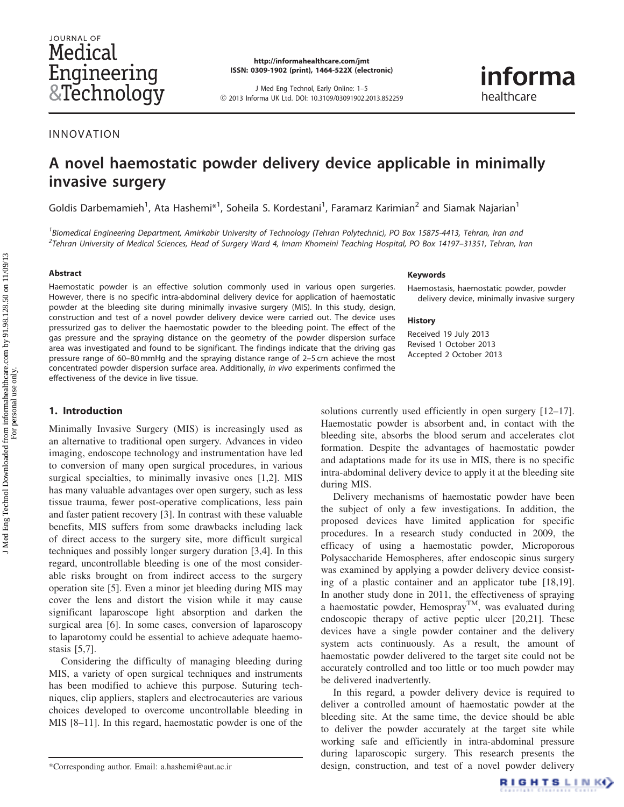# JOURNAL OF Medical Engineering &Technology

<http://informahealthcare.com/jmt> ISSN: 0309-1902 (print), 1464-522X (electronic)

J Med Eng Technol, Early Online: 1–5 ! 2013 Informa UK Ltd. DOI: 10.3109/03091902.2013.852259 informa healthcare

INNOVATION

# A novel haemostatic powder delivery device applicable in minimally invasive surgery

Goldis Darbemamieh<sup>1</sup>, Ata Hashemi<sup>\*1</sup>, Soheila S. Kordestani<sup>1</sup>, Faramarz Karimian<sup>2</sup> and Siamak Najarian<sup>1</sup>

<sup>1</sup>Biomedical Engineering Department, Amirkabir University of Technology (Tehran Polytechnic), PO Box 15875-4413, Tehran, Iran and 2 Tehran University of Medical Sciences, Head of Surgery Ward 4, Imam Khomeini Teaching Hospital, PO Box 14197–31351, Tehran, Iran

#### Abstract

Haemostatic powder is an effective solution commonly used in various open surgeries. However, there is no specific intra-abdominal delivery device for application of haemostatic powder at the bleeding site during minimally invasive surgery (MIS). In this study, design, construction and test of a novel powder delivery device were carried out. The device uses pressurized gas to deliver the haemostatic powder to the bleeding point. The effect of the gas pressure and the spraying distance on the geometry of the powder dispersion surface area was investigated and found to be significant. The findings indicate that the driving gas pressure range of 60–80 mmHg and the spraying distance range of 2–5 cm achieve the most concentrated powder dispersion surface area. Additionally, in vivo experiments confirmed the effectiveness of the device in live tissue.

### 1. Introduction

Minimally Invasive Surgery (MIS) is increasingly used as an alternative to traditional open surgery. Advances in video imaging, endoscope technology and instrumentation have led to conversion of many open surgical procedures, in various surgical specialties, to minimally invasive ones [\[1](#page-4-0),[2\]](#page-4-0). MIS has many valuable advantages over open surgery, such as less tissue trauma, fewer post-operative complications, less pain and faster patient recovery [\[3](#page-4-0)]. In contrast with these valuable benefits, MIS suffers from some drawbacks including lack of direct access to the surgery site, more difficult surgical techniques and possibly longer surgery duration [[3,4](#page-4-0)]. In this regard, uncontrollable bleeding is one of the most considerable risks brought on from indirect access to the surgery operation site [\[5](#page-4-0)]. Even a minor jet bleeding during MIS may cover the lens and distort the vision while it may cause significant laparoscope light absorption and darken the surgical area [\[6](#page-4-0)]. In some cases, conversion of laparoscopy to laparotomy could be essential to achieve adequate haemostasis [\[5](#page-4-0),[7](#page-4-0)].

Considering the difficulty of managing bleeding during MIS, a variety of open surgical techniques and instruments has been modified to achieve this purpose. Suturing techniques, clip appliers, staplers and electrocauteries are various choices developed to overcome uncontrollable bleeding in MIS [[8–11\]](#page-4-0). In this regard, haemostatic powder is one of the

#### Keywords

Haemostasis, haemostatic powder, powder delivery device, minimally invasive surgery

#### History

Received 19 July 2013 Revised 1 October 2013 Accepted 2 October 2013

solutions currently used efficiently in open surgery  $[12-17]$ . Haemostatic powder is absorbent and, in contact with the bleeding site, absorbs the blood serum and accelerates clot formation. Despite the advantages of haemostatic powder and adaptations made for its use in MIS, there is no specific intra-abdominal delivery device to apply it at the bleeding site during MIS.

Delivery mechanisms of haemostatic powder have been the subject of only a few investigations. In addition, the proposed devices have limited application for specific procedures. In a research study conducted in 2009, the efficacy of using a haemostatic powder, Microporous Polysaccharide Hemospheres, after endoscopic sinus surgery was examined by applying a powder delivery device consisting of a plastic container and an applicator tube [[18,19](#page-4-0)]. In another study done in 2011, the effectiveness of spraying a haemostatic powder, Hemospray<sup>TM</sup>, was evaluated during endoscopic therapy of active peptic ulcer [[20,21](#page-4-0)]. These devices have a single powder container and the delivery system acts continuously. As a result, the amount of haemostatic powder delivered to the target site could not be accurately controlled and too little or too much powder may be delivered inadvertently.

In this regard, a powder delivery device is required to deliver a controlled amount of haemostatic powder at the bleeding site. At the same time, the device should be able to deliver the powder accurately at the target site while working safe and efficiently in intra-abdominal pressure during laparoscopic surgery. This research presents the \*Corresponding author. Email: [a.hashemi@aut.ac.ir](mailto:a.hashemi@aut.ac.ir) design, construction, and test of a novel powder delivery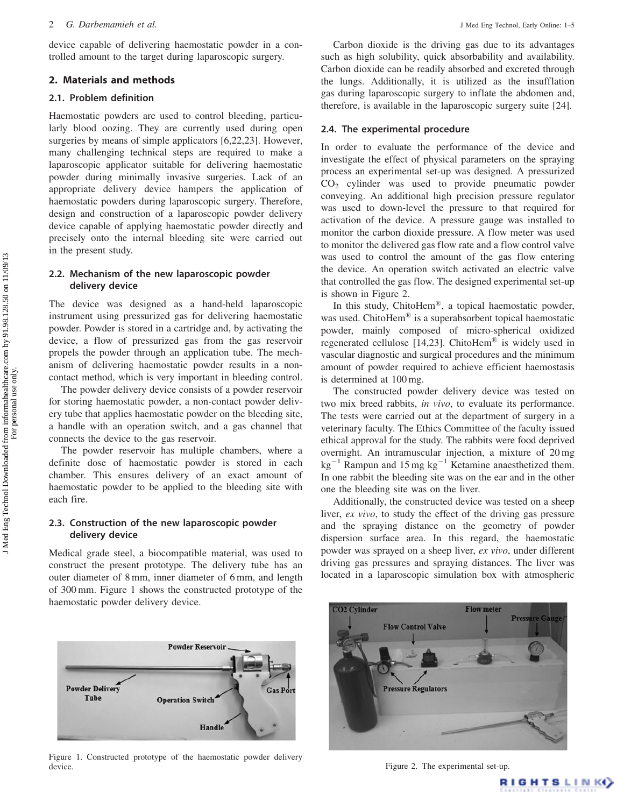device capable of delivering haemostatic powder in a controlled amount to the target during laparoscopic surgery.

#### 2. Materials and methods

# 2.1. Problem definition

Haemostatic powders are used to control bleeding, particularly blood oozing. They are currently used during open surgeries by means of simple applicators [\[6,22](#page-4-0),[23\]](#page-4-0). However, many challenging technical steps are required to make a laparoscopic applicator suitable for delivering haemostatic powder during minimally invasive surgeries. Lack of an appropriate delivery device hampers the application of haemostatic powders during laparoscopic surgery. Therefore, design and construction of a laparoscopic powder delivery device capable of applying haemostatic powder directly and precisely onto the internal bleeding site were carried out in the present study.

# 2.2. Mechanism of the new laparoscopic powder delivery device

The device was designed as a hand-held laparoscopic instrument using pressurized gas for delivering haemostatic powder. Powder is stored in a cartridge and, by activating the device, a flow of pressurized gas from the gas reservoir propels the powder through an application tube. The mechanism of delivering haemostatic powder results in a noncontact method, which is very important in bleeding control.

The powder delivery device consists of a powder reservoir for storing haemostatic powder, a non-contact powder delivery tube that applies haemostatic powder on the bleeding site, a handle with an operation switch, and a gas channel that connects the device to the gas reservoir.

The powder reservoir has multiple chambers, where a definite dose of haemostatic powder is stored in each chamber. This ensures delivery of an exact amount of haemostatic powder to be applied to the bleeding site with each fire.

# 2.3. Construction of the new laparoscopic powder delivery device

Medical grade steel, a biocompatible material, was used to construct the present prototype. The delivery tube has an outer diameter of 8 mm, inner diameter of 6 mm, and length of 300 mm. Figure 1 shows the constructed prototype of the haemostatic powder delivery device.

Carbon dioxide is the driving gas due to its advantages such as high solubility, quick absorbability and availability. Carbon dioxide can be readily absorbed and excreted through the lungs. Additionally, it is utilized as the insufflation gas during laparoscopic surgery to inflate the abdomen and, therefore, is available in the laparoscopic surgery suite [[24\]](#page-4-0).

# 2.4. The experimental procedure

In order to evaluate the performance of the device and investigate the effect of physical parameters on the spraying process an experimental set-up was designed. A pressurized CO2 cylinder was used to provide pneumatic powder conveying. An additional high precision pressure regulator was used to down-level the pressure to that required for activation of the device. A pressure gauge was installed to monitor the carbon dioxide pressure. A flow meter was used to monitor the delivered gas flow rate and a flow control valve was used to control the amount of the gas flow entering the device. An operation switch activated an electric valve that controlled the gas flow. The designed experimental set-up is shown in Figure 2.

In this study, ChitoHem®, a topical haemostatic powder, was used. ChitoHem® is a superabsorbent topical haemostatic powder, mainly composed of micro-spherical oxidized regenerated cellulose [\[14](#page-4-0),[23\]](#page-4-0). ChitoHem® is widely used in vascular diagnostic and surgical procedures and the minimum amount of powder required to achieve efficient haemostasis is determined at 100 mg.

The constructed powder delivery device was tested on two mix breed rabbits, in vivo, to evaluate its performance. The tests were carried out at the department of surgery in a veterinary faculty. The Ethics Committee of the faculty issued ethical approval for the study. The rabbits were food deprived overnight. An intramuscular injection, a mixture of 20 mg  $\text{kg}^{-1}$  Rampun and 15 mg  $\text{kg}^{-1}$  Ketamine anaesthetized them. In one rabbit the bleeding site was on the ear and in the other one the bleeding site was on the liver.

Additionally, the constructed device was tested on a sheep liver, ex vivo, to study the effect of the driving gas pressure and the spraying distance on the geometry of powder dispersion surface area. In this regard, the haemostatic powder was sprayed on a sheep liver, ex vivo, under different driving gas pressures and spraying distances. The liver was located in a laparoscopic simulation box with atmospheric



Figure 1. Constructed prototype of the haemostatic powder delivery device.



Figure 2. The experimental set-up.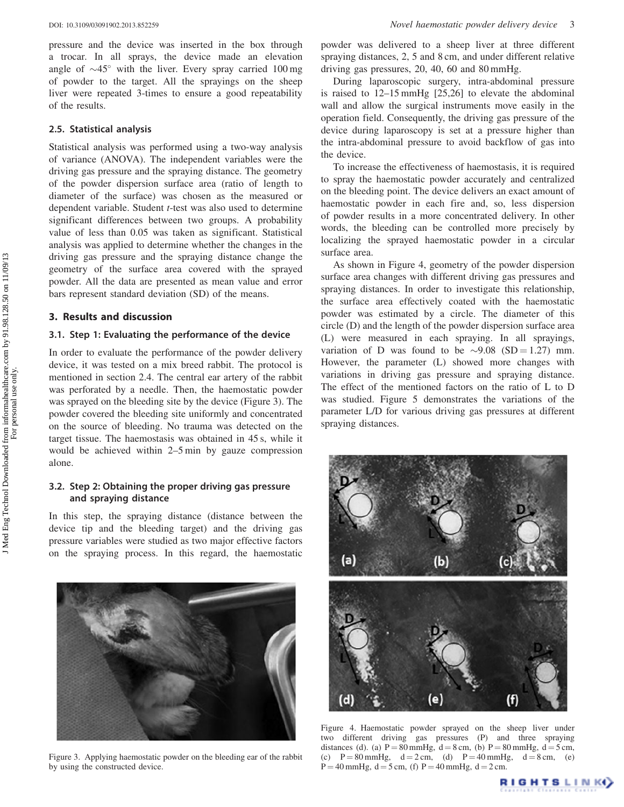pressure and the device was inserted in the box through a trocar. In all sprays, the device made an elevation angle of  $\sim$ 45° with the liver. Every spray carried 100 mg of powder to the target. All the sprayings on the sheep liver were repeated 3-times to ensure a good repeatability of the results.

#### 2.5. Statistical analysis

Statistical analysis was performed using a two-way analysis of variance (ANOVA). The independent variables were the driving gas pressure and the spraying distance. The geometry of the powder dispersion surface area (ratio of length to diameter of the surface) was chosen as the measured or dependent variable. Student *t*-test was also used to determine significant differences between two groups. A probability value of less than 0.05 was taken as significant. Statistical analysis was applied to determine whether the changes in the driving gas pressure and the spraying distance change the geometry of the surface area covered with the sprayed powder. All the data are presented as mean value and error bars represent standard deviation (SD) of the means.

#### 3. Results and discussion

#### 3.1. Step 1: Evaluating the performance of the device

In order to evaluate the performance of the powder delivery device, it was tested on a mix breed rabbit. The protocol is mentioned in section 2.4. The central ear artery of the rabbit was perforated by a needle. Then, the haemostatic powder was sprayed on the bleeding site by the device (Figure 3). The powder covered the bleeding site uniformly and concentrated on the source of bleeding. No trauma was detected on the target tissue. The haemostasis was obtained in 45 s, while it would be achieved within 2–5 min by gauze compression alone.

# 3.2. Step 2: Obtaining the proper driving gas pressure and spraying distance

In this step, the spraying distance (distance between the device tip and the bleeding target) and the driving gas pressure variables were studied as two major effective factors on the spraying process. In this regard, the haemostatic



Figure 3. Applying haemostatic powder on the bleeding ear of the rabbit by using the constructed device.

powder was delivered to a sheep liver at three different spraying distances, 2, 5 and 8 cm, and under different relative driving gas pressures, 20, 40, 60 and 80 mmHg.

During laparoscopic surgery, intra-abdominal pressure is raised to 12–15 mmHg [[25,26](#page-4-0)] to elevate the abdominal wall and allow the surgical instruments move easily in the operation field. Consequently, the driving gas pressure of the device during laparoscopy is set at a pressure higher than the intra-abdominal pressure to avoid backflow of gas into the device.

To increase the effectiveness of haemostasis, it is required to spray the haemostatic powder accurately and centralized on the bleeding point. The device delivers an exact amount of haemostatic powder in each fire and, so, less dispersion of powder results in a more concentrated delivery. In other words, the bleeding can be controlled more precisely by localizing the sprayed haemostatic powder in a circular surface area.

As shown in Figure 4, geometry of the powder dispersion surface area changes with different driving gas pressures and spraying distances. In order to investigate this relationship, the surface area effectively coated with the haemostatic powder was estimated by a circle. The diameter of this circle (D) and the length of the powder dispersion surface area (L) were measured in each spraying. In all sprayings, variation of D was found to be  $\sim$ 9.08 (SD = 1.27) mm. However, the parameter (L) showed more changes with variations in driving gas pressure and spraying distance. The effect of the mentioned factors on the ratio of L to D was studied. [Figure 5](#page-3-0) demonstrates the variations of the parameter L/D for various driving gas pressures at different spraying distances.



Figure 4. Haemostatic powder sprayed on the sheep liver under two different driving gas pressures (P) and three spraying distances (d). (a)  $P = 80$  mmHg,  $d = 8$  cm, (b)  $P = 80$  mmHg,  $d = 5$  cm, (c)  $P = 80$  mmHg,  $d = 2$  cm, (d)  $P = 40$  mmHg,  $d = 8$  cm, (e)  $P = 40$  mmHg,  $d = 5$  cm, (f)  $P = 40$  mmHg,  $d = 2$  cm.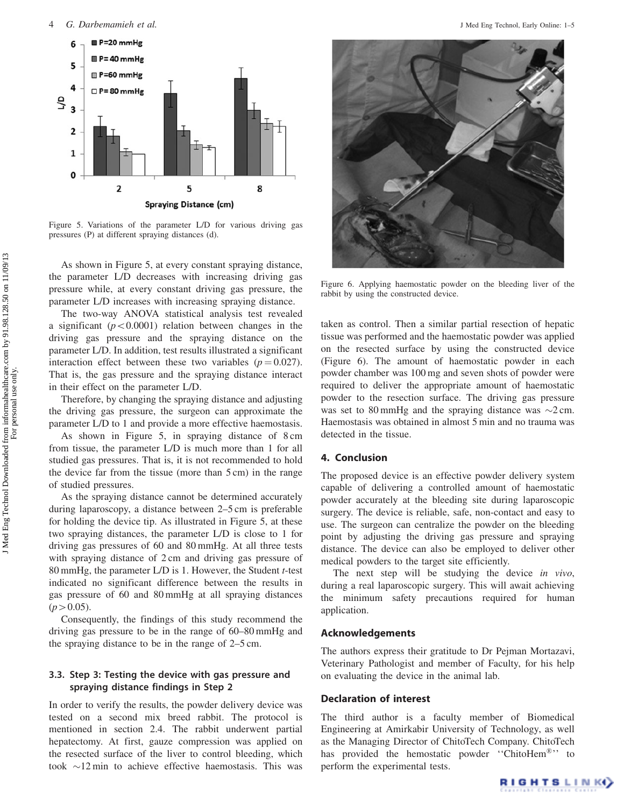<span id="page-3-0"></span>

Figure 5. Variations of the parameter L/D for various driving gas pressures (P) at different spraying distances (d).

As shown in Figure 5, at every constant spraying distance, the parameter L/D decreases with increasing driving gas pressure while, at every constant driving gas pressure, the parameter L/D increases with increasing spraying distance.

The two-way ANOVA statistical analysis test revealed a significant  $(p<0.0001)$  relation between changes in the driving gas pressure and the spraying distance on the parameter L/D. In addition, test results illustrated a significant interaction effect between these two variables ( $p = 0.027$ ). That is, the gas pressure and the spraying distance interact in their effect on the parameter L/D.

Therefore, by changing the spraying distance and adjusting the driving gas pressure, the surgeon can approximate the parameter L/D to 1 and provide a more effective haemostasis.

As shown in Figure 5, in spraying distance of 8 cm from tissue, the parameter L/D is much more than 1 for all studied gas pressures. That is, it is not recommended to hold the device far from the tissue (more than 5 cm) in the range of studied pressures.

As the spraying distance cannot be determined accurately during laparoscopy, a distance between 2–5 cm is preferable for holding the device tip. As illustrated in Figure 5, at these two spraying distances, the parameter L/D is close to 1 for driving gas pressures of 60 and 80 mmHg. At all three tests with spraying distance of 2 cm and driving gas pressure of 80 mmHg, the parameter L/D is 1. However, the Student *t*-test indicated no significant difference between the results in gas pressure of 60 and 80 mmHg at all spraying distances  $(p>0.05)$ .

Consequently, the findings of this study recommend the driving gas pressure to be in the range of 60–80 mmHg and the spraying distance to be in the range of 2–5 cm.

# 3.3. Step 3: Testing the device with gas pressure and spraying distance findings in Step 2

In order to verify the results, the powder delivery device was tested on a second mix breed rabbit. The protocol is mentioned in section 2.4. The rabbit underwent partial hepatectomy. At first, gauze compression was applied on the resected surface of the liver to control bleeding, which took  $\sim$ 12 min to achieve effective haemostasis. This was



Figure 6. Applying haemostatic powder on the bleeding liver of the rabbit by using the constructed device.

taken as control. Then a similar partial resection of hepatic tissue was performed and the haemostatic powder was applied on the resected surface by using the constructed device (Figure 6). The amount of haemostatic powder in each powder chamber was 100 mg and seven shots of powder were required to deliver the appropriate amount of haemostatic powder to the resection surface. The driving gas pressure was set to 80 mmHg and the spraying distance was  $\sim$ 2 cm. Haemostasis was obtained in almost 5 min and no trauma was detected in the tissue.

# 4. Conclusion

The proposed device is an effective powder delivery system capable of delivering a controlled amount of haemostatic powder accurately at the bleeding site during laparoscopic surgery. The device is reliable, safe, non-contact and easy to use. The surgeon can centralize the powder on the bleeding point by adjusting the driving gas pressure and spraying distance. The device can also be employed to deliver other medical powders to the target site efficiently.

The next step will be studying the device in vivo, during a real laparoscopic surgery. This will await achieving the minimum safety precautions required for human application.

#### Acknowledgements

The authors express their gratitude to Dr Pejman Mortazavi, Veterinary Pathologist and member of Faculty, for his help on evaluating the device in the animal lab.

### Declaration of interest

The third author is a faculty member of Biomedical Engineering at Amirkabir University of Technology, as well as the Managing Director of ChitoTech Company. ChitoTech has provided the hemostatic powder "ChitoHem®" to perform the experimental tests.